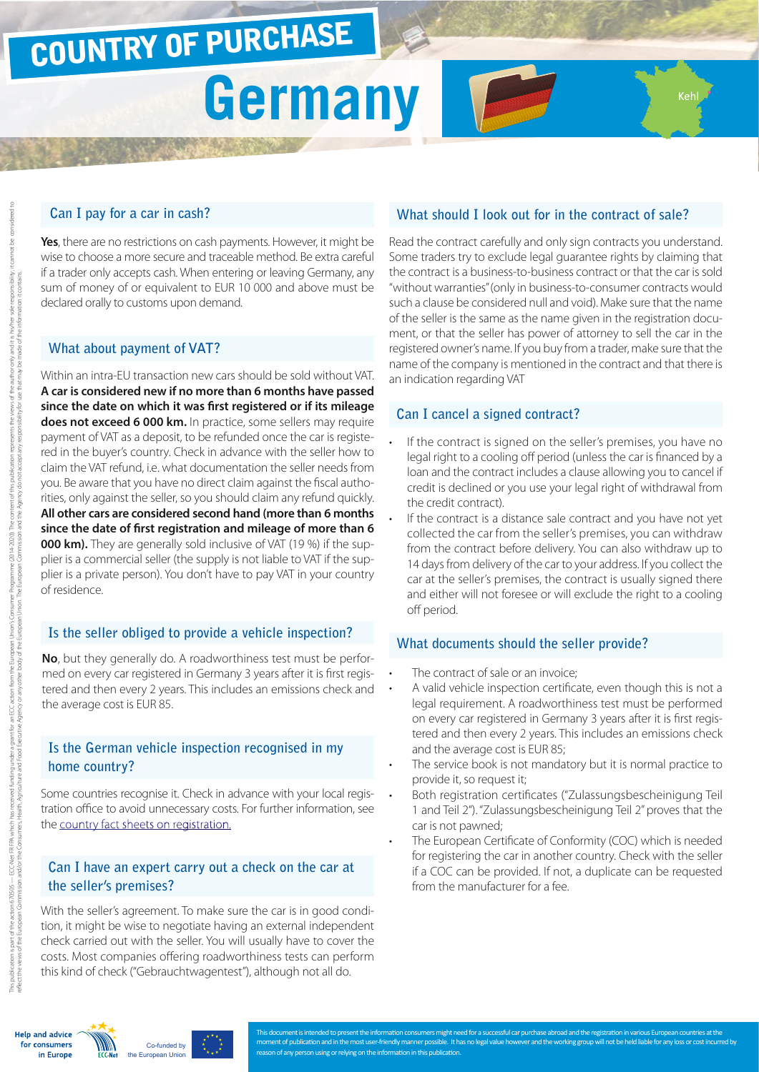# COUNTRY OF PURCHASE

# **Germany**

#### **Can I pay for a car in cash?**

**Yes**, there are no restrictions on cash payments. However, it might be wise to choose a more secure and traceable method. Be extra careful if a trader only accepts cash. When entering or leaving Germany, any sum of money of or equivalent to EUR 10 000 and above must be declared orally to customs upon demand.

#### **What about payment of VAT?**

Within an intra-EU transaction new cars should be sold without VAT. **A car is considered new if no more than 6 months have passed since the date on which it was first registered or if its mileage does not exceed 6 000 km.** In practice, some sellers may require payment of VAT as a deposit, to be refunded once the car is registered in the buyer's country. Check in advance with the seller how to claim the VAT refund, i.e. what documentation the seller needs from you. Be aware that you have no direct claim against the fiscal authorities, only against the seller, so you should claim any refund quickly. **All other cars are considered second hand (more than 6 months since the date of first registration and mileage of more than 6 000 km).** They are generally sold inclusive of VAT (19 %) if the supplier is a commercial seller (the supply is not liable to VAT if the supplier is a private person). You don't have to pay VAT in your country of residence.

#### **Is the seller obliged to provide a vehicle inspection?**

**No**, but they generally do. A roadworthiness test must be performed on every car registered in Germany 3 years after it is first registered and then every 2 years. This includes an emissions check and the average cost is EUR 85.

### **Is the German vehicle inspection recognised in my home country?**

Some countries recognise it. Check in advance with your local registration office to avoid unnecessary costs. For further information, see the [country fact sheets on registration.](http://www.europe-consommateurs.eu/en/consumer-topics/on-the-road/buying-a-car/cross-border-car-purchase-and-registration/)

#### **Can I have an expert carry out a check on the car at the seller's premises?**

With the seller's agreement. To make sure the car is in good condition, it might be wise to negotiate having an external independent check carried out with the seller. You will usually have to cover the costs. Most companies offering roadworthiness tests can perform this kind of check ("Gebrauchtwagentest"), although not all do.

## **What should I look out for in the contract of sale?**

Koh

Read the contract carefully and only sign contracts you understand. Some traders try to exclude legal guarantee rights by claiming that the contract is a business-to-business contract or that the car is sold "without warranties" (only in business-to-consumer contracts would such a clause be considered null and void). Make sure that the name of the seller is the same as the name given in the registration document, or that the seller has power of attorney to sell the car in the registered owner's name. If you buy from a trader, make sure that the name of the company is mentioned in the contract and that there is an indication regarding VAT

#### **Can I cancel a signed contract?**

- If the contract is signed on the seller's premises, you have no legal right to a cooling off period (unless the car is financed by a loan and the contract includes a clause allowing you to cancel if credit is declined or you use your legal right of withdrawal from the credit contract).
- If the contract is a distance sale contract and you have not yet collected the car from the seller's premises, you can withdraw from the contract before delivery. You can also withdraw up to 14 days from delivery of the car to your address. If you collect the car at the seller's premises, the contract is usually signed there and either will not foresee or will exclude the right to a cooling off period.

#### **What documents should the seller provide?**

- The contract of sale or an invoice:
- A valid vehicle inspection certificate, even though this is not a legal requirement. A roadworthiness test must be performed on every car registered in Germany 3 years after it is first registered and then every 2 years. This includes an emissions check and the average cost is EUR 85;
- The service book is not mandatory but it is normal practice to provide it, so request it;
- Both registration certificates ("Zulassungsbescheinigung Teil 1 and Teil 2"). "Zulassungsbescheinigung Teil 2" proves that the car is not pawned;
- The European Certificate of Conformity (COC) which is needed for registering the car in another country. Check with the seller if a COC can be provided. If not, a duplicate can be requested from the manufacturer for a fee.

tion is part of the action 670505 -

2014-2020.